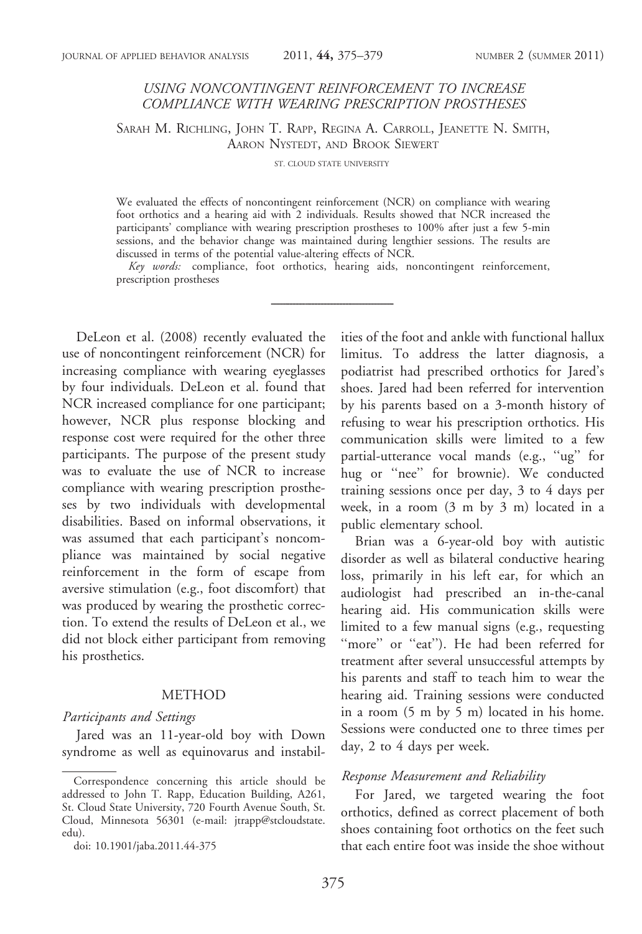# USING NONCONTINGENT REINFORCEMENT TO INCREASE COMPLIANCE WITH WEARING PRESCRIPTION PROSTHESES

SARAH M. RICHLING, JOHN T. RAPP, REGINA A. CARROLL, JEANETTE N. SMITH, AARON NYSTEDT, AND BROOK SIEWERT

ST. CLOUD STATE UNIVERSITY

We evaluated the effects of noncontingent reinforcement (NCR) on compliance with wearing foot orthotics and a hearing aid with 2 individuals. Results showed that NCR increased the participants' compliance with wearing prescription prostheses to 100% after just a few 5-min sessions, and the behavior change was maintained during lengthier sessions. The results are discussed in terms of the potential value-altering effects of NCR.

Key words: compliance, foot orthotics, hearing aids, noncontingent reinforcement, prescription prostheses

DeLeon et al. (2008) recently evaluated the use of noncontingent reinforcement (NCR) for increasing compliance with wearing eyeglasses by four individuals. DeLeon et al. found that NCR increased compliance for one participant; however, NCR plus response blocking and response cost were required for the other three participants. The purpose of the present study was to evaluate the use of NCR to increase compliance with wearing prescription prostheses by two individuals with developmental disabilities. Based on informal observations, it was assumed that each participant's noncompliance was maintained by social negative reinforcement in the form of escape from aversive stimulation (e.g., foot discomfort) that was produced by wearing the prosthetic correction. To extend the results of DeLeon et al., we did not block either participant from removing his prosthetics.

# **METHOD**

#### Participants and Settings

Jared was an 11-year-old boy with Down syndrome as well as equinovarus and instabilities of the foot and ankle with functional hallux limitus. To address the latter diagnosis, a podiatrist had prescribed orthotics for Jared's shoes. Jared had been referred for intervention by his parents based on a 3-month history of refusing to wear his prescription orthotics. His communication skills were limited to a few partial-utterance vocal mands (e.g., ''ug'' for hug or "nee" for brownie). We conducted training sessions once per day, 3 to 4 days per week, in a room (3 m by 3 m) located in a public elementary school.

Brian was a 6-year-old boy with autistic disorder as well as bilateral conductive hearing loss, primarily in his left ear, for which an audiologist had prescribed an in-the-canal hearing aid. His communication skills were limited to a few manual signs (e.g., requesting "more" or "eat"). He had been referred for treatment after several unsuccessful attempts by his parents and staff to teach him to wear the hearing aid. Training sessions were conducted in a room (5 m by 5 m) located in his home. Sessions were conducted one to three times per day, 2 to 4 days per week.

#### Response Measurement and Reliability

For Jared, we targeted wearing the foot orthotics, defined as correct placement of both shoes containing foot orthotics on the feet such that each entire foot was inside the shoe without

Correspondence concerning this article should be addressed to John T. Rapp, Education Building, A261, St. Cloud State University, 720 Fourth Avenue South, St. Cloud, Minnesota 56301 (e-mail: jtrapp@stcloudstate. edu).

doi: 10.1901/jaba.2011.44-375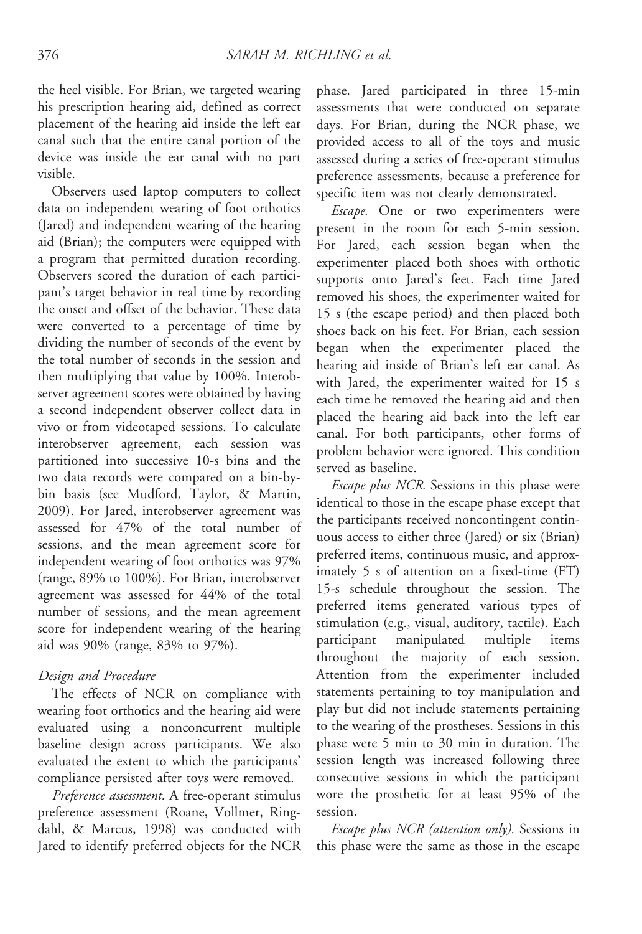the heel visible. For Brian, we targeted wearing his prescription hearing aid, defined as correct placement of the hearing aid inside the left ear canal such that the entire canal portion of the device was inside the ear canal with no part visible.

Observers used laptop computers to collect data on independent wearing of foot orthotics (Jared) and independent wearing of the hearing aid (Brian); the computers were equipped with a program that permitted duration recording. Observers scored the duration of each participant's target behavior in real time by recording the onset and offset of the behavior. These data were converted to a percentage of time by dividing the number of seconds of the event by the total number of seconds in the session and then multiplying that value by 100%. Interobserver agreement scores were obtained by having a second independent observer collect data in vivo or from videotaped sessions. To calculate interobserver agreement, each session was partitioned into successive 10-s bins and the two data records were compared on a bin-bybin basis (see Mudford, Taylor, & Martin, 2009). For Jared, interobserver agreement was assessed for 47% of the total number of sessions, and the mean agreement score for independent wearing of foot orthotics was 97% (range, 89% to 100%). For Brian, interobserver agreement was assessed for 44% of the total number of sessions, and the mean agreement score for independent wearing of the hearing aid was 90% (range, 83% to 97%).

# Design and Procedure

The effects of NCR on compliance with wearing foot orthotics and the hearing aid were evaluated using a nonconcurrent multiple baseline design across participants. We also evaluated the extent to which the participants' compliance persisted after toys were removed.

Preference assessment. A free-operant stimulus preference assessment (Roane, Vollmer, Ringdahl, & Marcus, 1998) was conducted with Jared to identify preferred objects for the NCR

phase. Jared participated in three 15-min assessments that were conducted on separate days. For Brian, during the NCR phase, we provided access to all of the toys and music assessed during a series of free-operant stimulus preference assessments, because a preference for specific item was not clearly demonstrated.

Escape. One or two experimenters were present in the room for each 5-min session. For Jared, each session began when the experimenter placed both shoes with orthotic supports onto Jared's feet. Each time Jared removed his shoes, the experimenter waited for 15 s (the escape period) and then placed both shoes back on his feet. For Brian, each session began when the experimenter placed the hearing aid inside of Brian's left ear canal. As with Jared, the experimenter waited for 15 s each time he removed the hearing aid and then placed the hearing aid back into the left ear canal. For both participants, other forms of problem behavior were ignored. This condition served as baseline.

*Escape plus NCR*. Sessions in this phase were identical to those in the escape phase except that the participants received noncontingent continuous access to either three (Jared) or six (Brian) preferred items, continuous music, and approximately 5 s of attention on a fixed-time (FT) 15-s schedule throughout the session. The preferred items generated various types of stimulation (e.g., visual, auditory, tactile). Each participant manipulated multiple items throughout the majority of each session. Attention from the experimenter included statements pertaining to toy manipulation and play but did not include statements pertaining to the wearing of the prostheses. Sessions in this phase were 5 min to 30 min in duration. The session length was increased following three consecutive sessions in which the participant wore the prosthetic for at least 95% of the session.

Escape plus NCR (attention only). Sessions in this phase were the same as those in the escape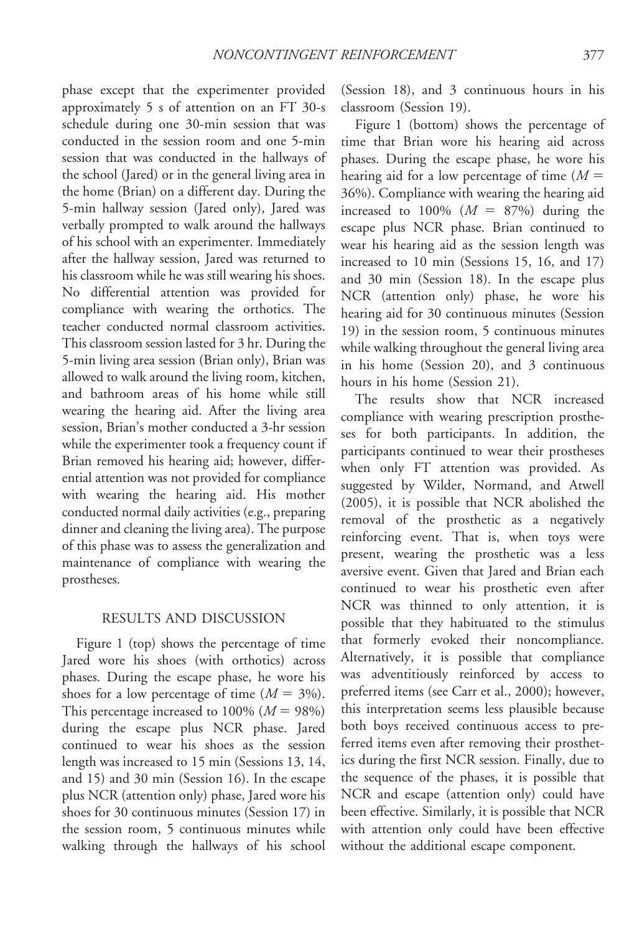phase except that the experimenter provided approximately 5 s of attention on an FT 30-s schedule during one 30-min session that was conducted in the session room and one 5-min session that was conducted in the hallways of the school (Jared) or in the general living area in the home (Brian) on a different day. During the 5-min hallway session (Jared only), Jared was verbally prompted to walk around the hallways of his school with an experimenter. Immediately after the hallway session, Jared was returned to his classroom while he was still wearing his shoes. No differential attention was provided for compliance with wearing the orthotics. The teacher conducted normal classroom activities. This classroom session lasted for 3 hr. During the 5-min living area session (Brian only), Brian was allowed to walk around the living room, kitchen, and bathroom areas of his home while still wearing the hearing aid. After the living area session, Brian's mother conducted a 3-hr session while the experimenter took a frequency count if Brian removed his hearing aid; however, differential attention was not provided for compliance with wearing the hearing aid. His mother conducted normal daily activities (e.g., preparing dinner and cleaning the living area). The purpose of this phase was to assess the generalization and maintenance of compliance with wearing the prostheses.

## RESULTS AND DISCUSSION

Figure 1 (top) shows the percentage of time Jared wore his shoes (with orthotics) across phases. During the escape phase, he wore his shoes for a low percentage of time  $(M = 3\%)$ . This percentage increased to 100% ( $M = 98\%$ ) during the escape plus NCR phase. Jared continued to wear his shoes as the session length was increased to 15 min (Sessions 13, 14, and 15) and 30 min (Session 16). In the escape plus NCR (attention only) phase, Jared wore his shoes for 30 continuous minutes (Session 17) in the session room, 5 continuous minutes while walking through the hallways of his school (Session 18), and 3 continuous hours in his classroom (Session 19).

Figure 1 (bottom) shows the percentage of time that Brian wore his hearing aid across phases. During the escape phase, he wore his hearing aid for a low percentage of time  $(M =$ 36%). Compliance with wearing the hearing aid increased to 100% ( $M = 87%$ ) during the escape plus NCR phase. Brian continued to wear his hearing aid as the session length was increased to 10 min (Sessions 15, 16, and 17) and 30 min (Session 18). In the escape plus NCR (attention only) phase, he wore his hearing aid for 30 continuous minutes (Session 19) in the session room, 5 continuous minutes while walking throughout the general living area in his home (Session 20), and 3 continuous hours in his home (Session 21).

The results show that NCR increased compliance with wearing prescription prostheses for both participants. In addition, the participants continued to wear their prostheses when only FT attention was provided. As suggested by Wilder, Normand, and Atwell (2005), it is possible that NCR abolished the removal of the prosthetic as a negatively reinforcing event. That is, when toys were present, wearing the prosthetic was a less aversive event. Given that Jared and Brian each continued to wear his prosthetic even after NCR was thinned to only attention, it is possible that they habituated to the stimulus that formerly evoked their noncompliance. Alternatively, it is possible that compliance was adventitiously reinforced by access to preferred items (see Carr et al., 2000); however, this interpretation seems less plausible because both boys received continuous access to preferred items even after removing their prosthetics during the first NCR session. Finally, due to the sequence of the phases, it is possible that NCR and escape (attention only) could have been effective. Similarly, it is possible that NCR with attention only could have been effective without the additional escape component.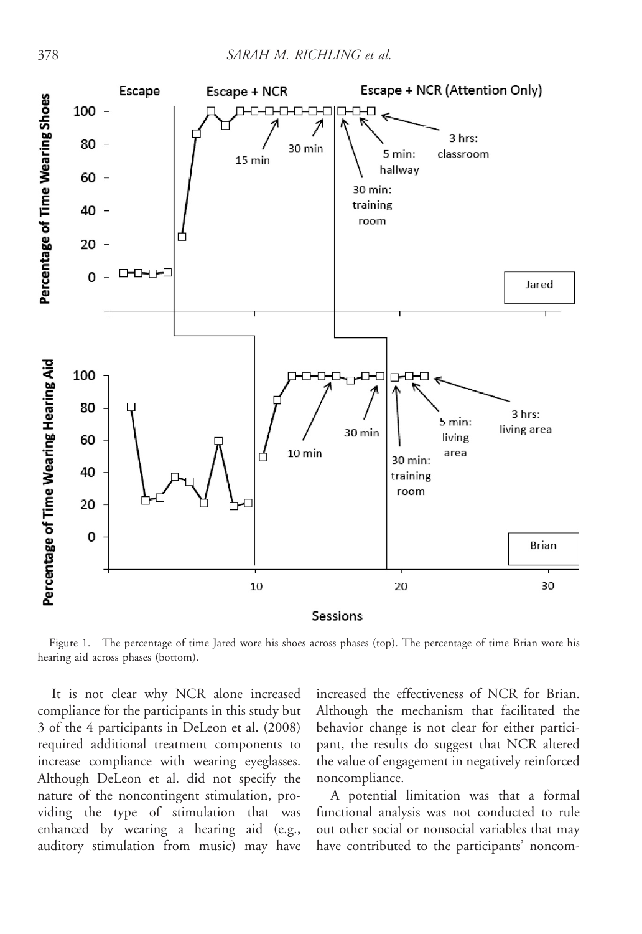

Figure 1. The percentage of time Jared wore his shoes across phases (top). The percentage of time Brian wore his hearing aid across phases (bottom).

It is not clear why NCR alone increased compliance for the participants in this study but 3 of the 4 participants in DeLeon et al. (2008) required additional treatment components to increase compliance with wearing eyeglasses. Although DeLeon et al. did not specify the nature of the noncontingent stimulation, providing the type of stimulation that was enhanced by wearing a hearing aid (e.g., auditory stimulation from music) may have

increased the effectiveness of NCR for Brian. Although the mechanism that facilitated the behavior change is not clear for either participant, the results do suggest that NCR altered the value of engagement in negatively reinforced noncompliance.

A potential limitation was that a formal functional analysis was not conducted to rule out other social or nonsocial variables that may have contributed to the participants' noncom